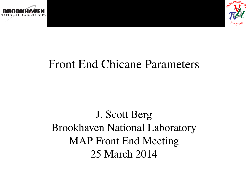



#### Front End Chicane Parameters

J. Scott Berg Brookhaven National Laboratory MAP Front End Meeting 25 March 2014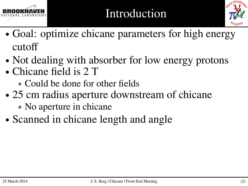



- ∙ Goal: optimize chicane parameters for high energy cutoff
- ∙ Not dealing with absorber for low energy protons
- ∙ Chicane field is 2 T
	- ∘ Could be done for other fields
- ∙ 25 cm radius aperture downstream of chicane
	- ∘ No aperture in chicane
- ∙ Scanned in chicane length and angle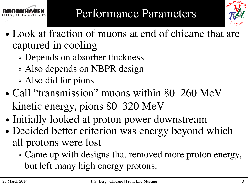



- ∙ Look at fraction of muons at end of chicane that are captured in cooling
	- ∘ Depends on absorber thickness
	- ∘ Also depends on NBPR design
	- ∘ Also did for pions
- ∙ Call "transmission" muons within 80–260 MeV kinetic energy, pions 80–320 MeV
- ∙ Initially looked at proton power downstream
- ∙ Decided better criterion was energy beyond which all protons were lost
	- ∘ Came up with designs that removed more proton energy, but left many high energy protons.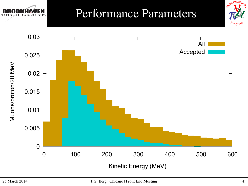

### Performance Parameters



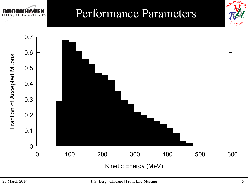

#### Performance Parameters



Augn A

A<sub>rogram</sub>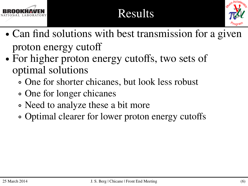

## Results



- ∙ Can find solutions with best transmission for a given proton energy cutoff
- ∙ For higher proton energy cutoffs, two sets of optimal solutions
	- ∘ One for shorter chicanes, but look less robust
	- ∘ One for longer chicanes
	- ∘ Need to analyze these a bit more
	- ∘ Optimal clearer for lower proton energy cutoffs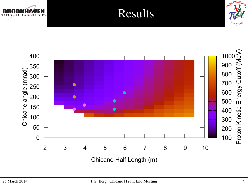





Chicane Half Length (m)

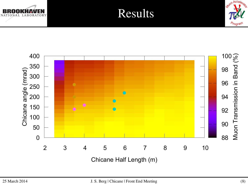



Results



Chicane Half Length (m)

Avion Acceley

*T*oara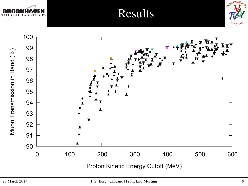





Results